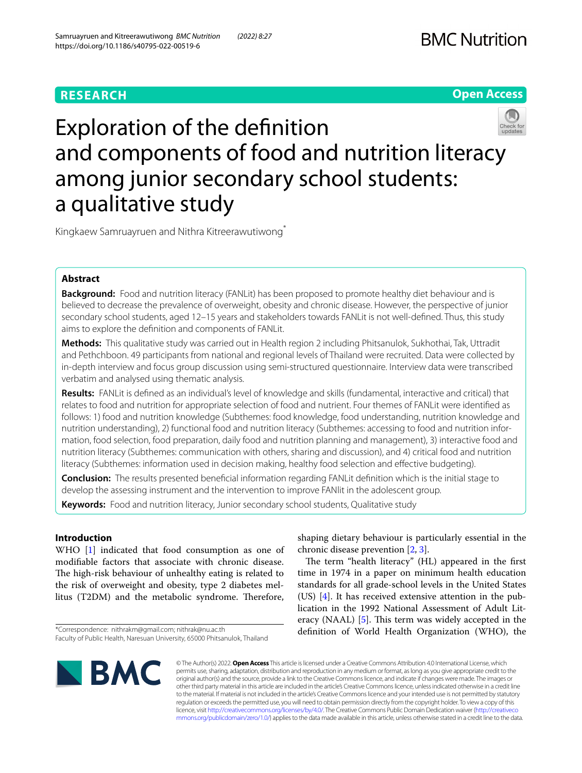# **RESEARCH**

**Open Access**

# Exploration of the defnition and components of food and nutrition literacy among junior secondary school students: a qualitative study

Kingkaew Samruayruen and Nithra Kitreerawutiwong\*

# **Abstract**

**Background:** Food and nutrition literacy (FANLit) has been proposed to promote healthy diet behaviour and is believed to decrease the prevalence of overweight, obesity and chronic disease. However, the perspective of junior secondary school students, aged 12–15 years and stakeholders towards FANLit is not well-defned. Thus, this study aims to explore the defnition and components of FANLit.

**Methods:** This qualitative study was carried out in Health region 2 including Phitsanulok, Sukhothai, Tak, Uttradit and Pethchboon. 49 participants from national and regional levels of Thailand were recruited. Data were collected by in-depth interview and focus group discussion using semi-structured questionnaire. Interview data were transcribed verbatim and analysed using thematic analysis.

**Results:** FANLit is defned as an individual's level of knowledge and skills (fundamental, interactive and critical) that relates to food and nutrition for appropriate selection of food and nutrient. Four themes of FANLit were identifed as follows: 1) food and nutrition knowledge (Subthemes: food knowledge, food understanding, nutrition knowledge and nutrition understanding), 2) functional food and nutrition literacy (Subthemes: accessing to food and nutrition information, food selection, food preparation, daily food and nutrition planning and management), 3) interactive food and nutrition literacy (Subthemes: communication with others, sharing and discussion), and 4) critical food and nutrition literacy (Subthemes: information used in decision making, healthy food selection and efective budgeting).

**Conclusion:** The results presented benefcial information regarding FANLit defnition which is the initial stage to develop the assessing instrument and the intervention to improve FANlit in the adolescent group.

**Keywords:** Food and nutrition literacy, Junior secondary school students, Qualitative study

# **Introduction**

WHO [\[1\]](#page-11-0) indicated that food consumption as one of modifable factors that associate with chronic disease. The high-risk behaviour of unhealthy eating is related to the risk of overweight and obesity, type 2 diabetes mellitus (T2DM) and the metabolic syndrome. Therefore,

shaping dietary behaviour is particularly essential in the chronic disease prevention [[2,](#page-11-1) [3](#page-11-2)].

The term "health literacy" (HL) appeared in the first time in 1974 in a paper on minimum health education standards for all grade-school levels in the United States (US) [\[4](#page-11-3)]. It has received extensive attention in the publication in the 1992 National Assessment of Adult Literacy (NAAL)  $[5]$  $[5]$ . This term was widely accepted in the defnition of World Health Organization (WHO), the



© The Author(s) 2022. **Open Access** This article is licensed under a Creative Commons Attribution 4.0 International License, which permits use, sharing, adaptation, distribution and reproduction in any medium or format, as long as you give appropriate credit to the original author(s) and the source, provide a link to the Creative Commons licence, and indicate if changes were made. The images or other third party material in this article are included in the article's Creative Commons licence, unless indicated otherwise in a credit line to the material. If material is not included in the article's Creative Commons licence and your intended use is not permitted by statutory regulation or exceeds the permitted use, you will need to obtain permission directly from the copyright holder. To view a copy of this licence, visit [http://creativecommons.org/licenses/by/4.0/.](http://creativecommons.org/licenses/by/4.0/) The Creative Commons Public Domain Dedication waiver ([http://creativeco](http://creativecommons.org/publicdomain/zero/1.0/) [mmons.org/publicdomain/zero/1.0/](http://creativecommons.org/publicdomain/zero/1.0/)) applies to the data made available in this article, unless otherwise stated in a credit line to the data.

<sup>\*</sup>Correspondence: nithrakm@gmail.com; nithrak@nu.ac.th Faculty of Public Health, Naresuan University, 65000 Phitsanulok, Thailand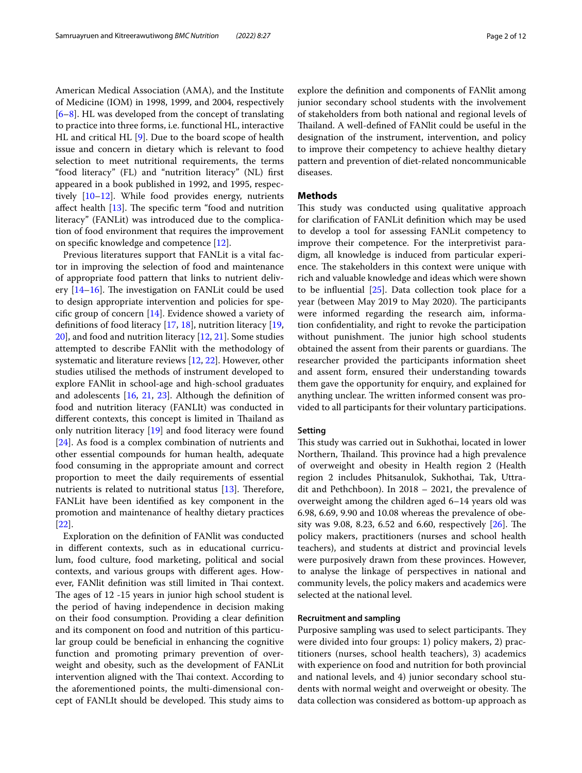American Medical Association (AMA), and the Institute of Medicine (IOM) in 1998, 1999, and 2004, respectively [[6–](#page-11-5)[8\]](#page-11-6). HL was developed from the concept of translating to practice into three forms, i.e. functional HL, interactive HL and critical HL [\[9\]](#page-11-7). Due to the board scope of health issue and concern in dietary which is relevant to food selection to meet nutritional requirements, the terms "food literacy" (FL) and "nutrition literacy" (NL) frst appeared in a book published in 1992, and 1995, respectively [\[10](#page-11-8)–[12\]](#page-11-9). While food provides energy, nutrients affect health  $[13]$  $[13]$ . The specific term "food and nutrition literacy" (FANLit) was introduced due to the complication of food environment that requires the improvement on specifc knowledge and competence [\[12](#page-11-9)].

Previous literatures support that FANLit is a vital factor in improving the selection of food and maintenance of appropriate food pattern that links to nutrient delivery  $[14–16]$  $[14–16]$ . The investigation on FANLit could be used to design appropriate intervention and policies for specifc group of concern [\[14](#page-11-11)]. Evidence showed a variety of defnitions of food literacy [[17](#page-11-13), [18](#page-11-14)], nutrition literacy [\[19](#page-11-15), [20\]](#page-11-16), and food and nutrition literacy [[12,](#page-11-9) [21](#page-11-17)]. Some studies attempted to describe FANlit with the methodology of systematic and literature reviews [[12,](#page-11-9) [22](#page-11-18)]. However, other studies utilised the methods of instrument developed to explore FANlit in school-age and high-school graduates and adolescents [[16](#page-11-12), [21](#page-11-17), [23\]](#page-11-19). Although the defnition of food and nutrition literacy (FANLIt) was conducted in different contexts, this concept is limited in Thailand as only nutrition literacy [\[19\]](#page-11-15) and food literacy were found [[24\]](#page-11-20). As food is a complex combination of nutrients and other essential compounds for human health, adequate food consuming in the appropriate amount and correct proportion to meet the daily requirements of essential nutrients is related to nutritional status  $[13]$  $[13]$ . Therefore, FANLit have been identifed as key component in the promotion and maintenance of healthy dietary practices [[22\]](#page-11-18).

Exploration on the defnition of FANlit was conducted in diferent contexts, such as in educational curriculum, food culture, food marketing, political and social contexts, and various groups with diferent ages. However, FANlit definition was still limited in Thai context. The ages of 12 -15 years in junior high school student is the period of having independence in decision making on their food consumption. Providing a clear defnition and its component on food and nutrition of this particular group could be benefcial in enhancing the cognitive function and promoting primary prevention of overweight and obesity, such as the development of FANLit intervention aligned with the Thai context. According to the aforementioned points, the multi-dimensional concept of FANLIt should be developed. This study aims to explore the defnition and components of FANlit among junior secondary school students with the involvement of stakeholders from both national and regional levels of Thailand. A well-defined of FANlit could be useful in the designation of the instrument, intervention, and policy to improve their competency to achieve healthy dietary pattern and prevention of diet-related noncommunicable diseases.

#### **Methods**

This study was conducted using qualitative approach for clarifcation of FANLit defnition which may be used to develop a tool for assessing FANLit competency to improve their competence. For the interpretivist paradigm, all knowledge is induced from particular experience. The stakeholders in this context were unique with rich and valuable knowledge and ideas which were shown to be infuential [[25\]](#page-11-21). Data collection took place for a year (between May 2019 to May 2020). The participants were informed regarding the research aim, information confdentiality, and right to revoke the participation without punishment. The junior high school students obtained the assent from their parents or guardians. The researcher provided the participants information sheet and assent form, ensured their understanding towards them gave the opportunity for enquiry, and explained for anything unclear. The written informed consent was provided to all participants for their voluntary participations.

#### **Setting**

This study was carried out in Sukhothai, located in lower Northern, Thailand. This province had a high prevalence of overweight and obesity in Health region 2 (Health region 2 includes Phitsanulok, Sukhothai, Tak, Uttradit and Pethchboon). In 2018 – 2021, the prevalence of overweight among the children aged 6–14 years old was 6.98, 6.69, 9.90 and 10.08 whereas the prevalence of obesity was 9.08, 8.23, 6.52 and 6.60, respectively  $[26]$  $[26]$ . The policy makers, practitioners (nurses and school health teachers), and students at district and provincial levels were purposively drawn from these provinces. However, to analyse the linkage of perspectives in national and community levels, the policy makers and academics were selected at the national level.

#### **Recruitment and sampling**

Purposive sampling was used to select participants. They were divided into four groups: 1) policy makers, 2) practitioners (nurses, school health teachers), 3) academics with experience on food and nutrition for both provincial and national levels, and 4) junior secondary school students with normal weight and overweight or obesity. The data collection was considered as bottom-up approach as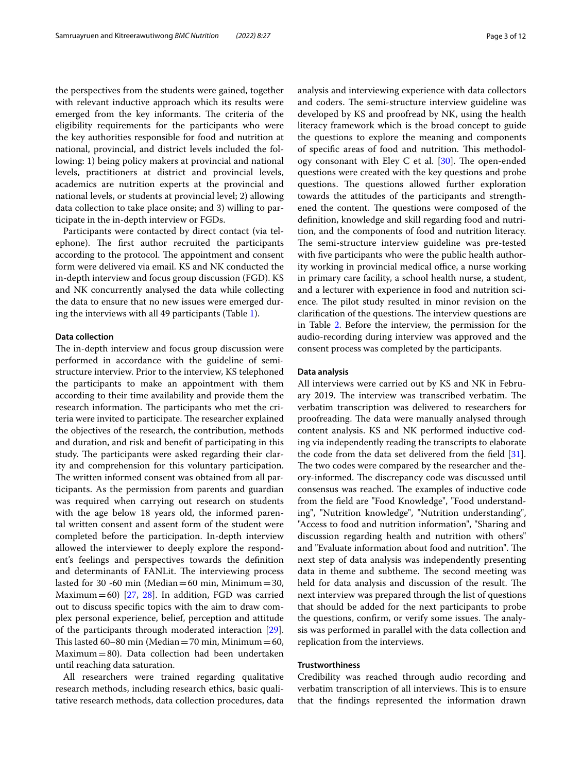the perspectives from the students were gained, together with relevant inductive approach which its results were emerged from the key informants. The criteria of the eligibility requirements for the participants who were the key authorities responsible for food and nutrition at national, provincial, and district levels included the following: 1) being policy makers at provincial and national levels, practitioners at district and provincial levels, academics are nutrition experts at the provincial and national levels, or students at provincial level; 2) allowing data collection to take place onsite; and 3) willing to participate in the in-depth interview or FGDs.

Participants were contacted by direct contact (via telephone). The first author recruited the participants according to the protocol. The appointment and consent form were delivered via email. KS and NK conducted the in-depth interview and focus group discussion (FGD). KS and NK concurrently analysed the data while collecting the data to ensure that no new issues were emerged during the interviews with all 49 participants (Table [1\)](#page-3-0).

#### **Data collection**

The in-depth interview and focus group discussion were performed in accordance with the guideline of semistructure interview. Prior to the interview, KS telephoned the participants to make an appointment with them according to their time availability and provide them the research information. The participants who met the criteria were invited to participate. The researcher explained the objectives of the research, the contribution, methods and duration, and risk and beneft of participating in this study. The participants were asked regarding their clarity and comprehension for this voluntary participation. The written informed consent was obtained from all participants. As the permission from parents and guardian was required when carrying out research on students with the age below 18 years old, the informed parental written consent and assent form of the student were completed before the participation. In-depth interview allowed the interviewer to deeply explore the respondent's feelings and perspectives towards the defnition and determinants of FANLit. The interviewing process lasted for 30 -60 min (Median = 60 min, Minimum = 30, Maximum = 60) [ $27, 28$  $27, 28$ ]. In addition, FGD was carried out to discuss specifc topics with the aim to draw complex personal experience, belief, perception and attitude of the participants through moderated interaction [\[29](#page-11-25)]. This lasted 60–80 min (Median = 70 min, Minimum = 60, Maximum=80). Data collection had been undertaken until reaching data saturation.

All researchers were trained regarding qualitative research methods, including research ethics, basic qualitative research methods, data collection procedures, data analysis and interviewing experience with data collectors and coders. The semi-structure interview guideline was developed by KS and proofread by NK, using the health literacy framework which is the broad concept to guide the questions to explore the meaning and components of specific areas of food and nutrition. This methodology consonant with Eley C et al.  $[30]$ . The open-ended questions were created with the key questions and probe questions. The questions allowed further exploration towards the attitudes of the participants and strengthened the content. The questions were composed of the defnition, knowledge and skill regarding food and nutrition, and the components of food and nutrition literacy. The semi-structure interview guideline was pre-tested with five participants who were the public health authority working in provincial medical office, a nurse working in primary care facility, a school health nurse, a student, and a lecturer with experience in food and nutrition science. The pilot study resulted in minor revision on the clarification of the questions. The interview questions are in Table [2](#page-4-0). Before the interview, the permission for the audio-recording during interview was approved and the consent process was completed by the participants.

#### **Data analysis**

All interviews were carried out by KS and NK in February 2019. The interview was transcribed verbatim. The verbatim transcription was delivered to researchers for proofreading. The data were manually analysed through content analysis. KS and NK performed inductive coding via independently reading the transcripts to elaborate the code from the data set delivered from the feld [\[31](#page-11-27)]. The two codes were compared by the researcher and theory-informed. The discrepancy code was discussed until consensus was reached. The examples of inductive code from the feld are "Food Knowledge", "Food understanding", "Nutrition knowledge", "Nutrition understanding", "Access to food and nutrition information", "Sharing and discussion regarding health and nutrition with others" and "Evaluate information about food and nutrition". The next step of data analysis was independently presenting data in theme and subtheme. The second meeting was held for data analysis and discussion of the result. The next interview was prepared through the list of questions that should be added for the next participants to probe the questions, confirm, or verify some issues. The analysis was performed in parallel with the data collection and replication from the interviews.

### **Trustworthiness**

Credibility was reached through audio recording and verbatim transcription of all interviews. This is to ensure that the fndings represented the information drawn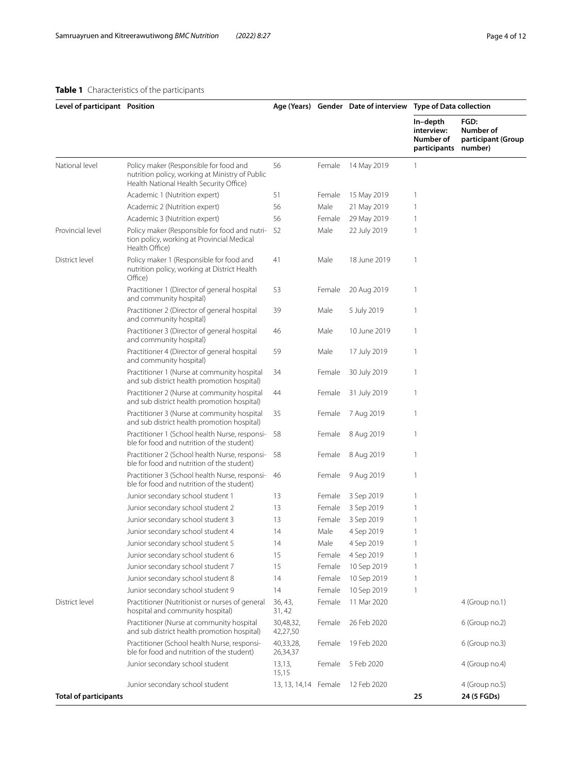## <span id="page-3-0"></span>**Table 1** Characteristics of the participants

| Level of participant Position |                                                                                                                                      |                       |        | Age (Years) Gender Date of interview Type of Data collection |                                                     |                                                    |
|-------------------------------|--------------------------------------------------------------------------------------------------------------------------------------|-----------------------|--------|--------------------------------------------------------------|-----------------------------------------------------|----------------------------------------------------|
|                               |                                                                                                                                      |                       |        |                                                              | In-depth<br>interview:<br>Number of<br>participants | FGD:<br>Number of<br>participant (Group<br>number) |
| National level                | Policy maker (Responsible for food and<br>nutrition policy, working at Ministry of Public<br>Health National Health Security Office) | 56                    | Female | 14 May 2019                                                  | $\mathbf{1}$                                        |                                                    |
|                               | Academic 1 (Nutrition expert)                                                                                                        | 51                    | Female | 15 May 2019                                                  | $\mathbf{1}$                                        |                                                    |
|                               | Academic 2 (Nutrition expert)                                                                                                        | 56                    | Male   | 21 May 2019                                                  | $\mathbf{1}$                                        |                                                    |
|                               | Academic 3 (Nutrition expert)                                                                                                        | 56                    | Female | 29 May 2019                                                  | $\mathbf{1}$                                        |                                                    |
| Provincial level              | Policy maker (Responsible for food and nutri-<br>tion policy, working at Provincial Medical<br>Health Office)                        | 52                    | Male   | 22 July 2019                                                 | $\mathbf{1}$                                        |                                                    |
| District level                | Policy maker 1 (Responsible for food and<br>nutrition policy, working at District Health<br>Office)                                  | 41                    | Male   | 18 June 2019                                                 | $\mathbf{1}$                                        |                                                    |
|                               | Practitioner 1 (Director of general hospital<br>and community hospital)                                                              | 53                    | Female | 20 Aug 2019                                                  | $\mathbf{1}$                                        |                                                    |
|                               | Practitioner 2 (Director of general hospital<br>and community hospital)                                                              | 39                    | Male   | 5 July 2019                                                  | $\mathbf{1}$                                        |                                                    |
|                               | Practitioner 3 (Director of general hospital<br>and community hospital)                                                              | 46                    | Male   | 10 June 2019                                                 | $\mathbf{1}$                                        |                                                    |
|                               | Practitioner 4 (Director of general hospital<br>and community hospital)                                                              | 59                    | Male   | 17 July 2019                                                 | $\mathbf{1}$                                        |                                                    |
|                               | Practitioner 1 (Nurse at community hospital<br>and sub district health promotion hospital)                                           | 34                    | Female | 30 July 2019                                                 | $\mathbf{1}$                                        |                                                    |
|                               | Practitioner 2 (Nurse at community hospital<br>and sub district health promotion hospital)                                           | 44                    | Female | 31 July 2019                                                 | $\mathbf{1}$                                        |                                                    |
|                               | Practitioner 3 (Nurse at community hospital<br>and sub district health promotion hospital)                                           | 35                    | Female | 7 Aug 2019                                                   | $\mathbf{1}$                                        |                                                    |
|                               | Practitioner 1 (School health Nurse, responsi-<br>ble for food and nutrition of the student)                                         | 58                    | Female | 8 Aug 2019                                                   | $\mathbf{1}$                                        |                                                    |
|                               | Practitioner 2 (School health Nurse, responsi-<br>ble for food and nutrition of the student)                                         | 58                    | Female | 8 Aug 2019                                                   | 1                                                   |                                                    |
|                               | Practitioner 3 (School health Nurse, responsi-<br>ble for food and nutrition of the student)                                         | 46                    | Female | 9 Aug 2019                                                   | 1                                                   |                                                    |
|                               | Junior secondary school student 1                                                                                                    | 13                    | Female | 3 Sep 2019                                                   | $\mathbf{1}$                                        |                                                    |
|                               | Junior secondary school student 2                                                                                                    | 13                    | Female | 3 Sep 2019                                                   | 1                                                   |                                                    |
|                               | Junior secondary school student 3                                                                                                    | 13                    | Female | 3 Sep 2019                                                   | 1                                                   |                                                    |
|                               | Junior secondary school student 4                                                                                                    | 14                    | Male   | 4 Sep 2019                                                   | 1                                                   |                                                    |
|                               | Junior secondary school student 5                                                                                                    | 14                    | Male   | 4 Sep 2019                                                   |                                                     |                                                    |
|                               | Junior secondary school student 6                                                                                                    | 15                    | Female | 4 Sep 2019                                                   | $\mathbf{1}$                                        |                                                    |
|                               | Junior secondary school student 7                                                                                                    | 15                    | Female | 10 Sep 2019                                                  | 1                                                   |                                                    |
|                               | Junior secondary school student 8                                                                                                    | 14                    | Female | 10 Sep 2019                                                  | 1                                                   |                                                    |
|                               | Junior secondary school student 9                                                                                                    | 14                    | Female | 10 Sep 2019                                                  | 1                                                   |                                                    |
| District level                | Practitioner (Nutritionist or nurses of general<br>hospital and community hospital)                                                  | 36, 43,<br>31, 42     | Female | 11 Mar 2020                                                  |                                                     | 4 (Group no.1)                                     |
|                               | Practitioner (Nurse at community hospital<br>and sub district health promotion hospital)                                             | 30,48,32,<br>42,27,50 | Female | 26 Feb 2020                                                  |                                                     | 6 (Group no.2)                                     |
|                               | Practitioner (School health Nurse, responsi-<br>ble for food and nutrition of the student)                                           | 40,33,28,<br>26,34,37 | Female | 19 Feb 2020                                                  |                                                     | 6 (Group no.3)                                     |
|                               | Junior secondary school student                                                                                                      | 13,13,<br>15,15       | Female | 5 Feb 2020                                                   |                                                     | 4 (Group no.4)                                     |
| <b>Total of participants</b>  | Junior secondary school student                                                                                                      | 13, 13, 14, 14 Female |        | 12 Feb 2020                                                  | 25                                                  | 4 (Group no.5)<br>24 (5 FGDs)                      |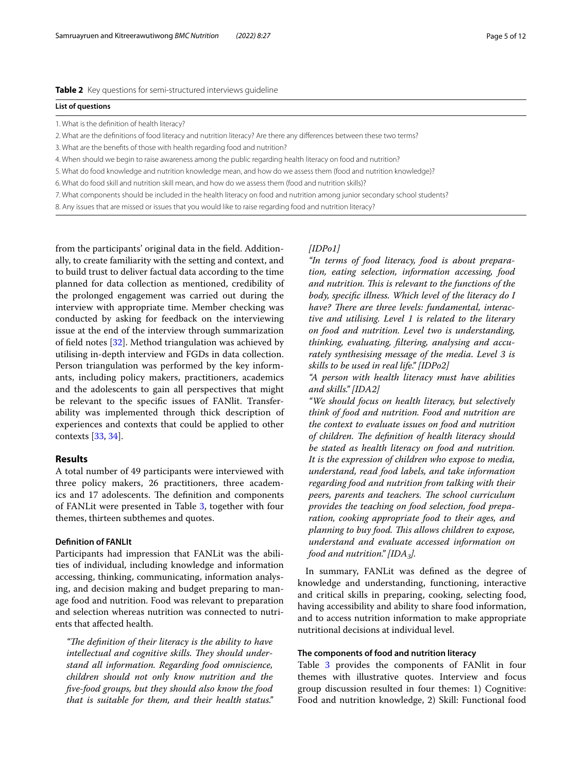#### <span id="page-4-0"></span>**List of questions**

- 1. What is the defnition of health literacy?
- 2. What are the defnitions of food literacy and nutrition literacy? Are there any diferences between these two terms?
- 3. What are the benefts of those with health regarding food and nutrition?
- 4. When should we begin to raise awareness among the public regarding health literacy on food and nutrition?
- 5. What do food knowledge and nutrition knowledge mean, and how do we assess them (food and nutrition knowledge)?
- 6. What do food skill and nutrition skill mean, and how do we assess them (food and nutrition skills)?
- 7. What components should be included in the health literacy on food and nutrition among junior secondary school students?
- 8. Any issues that are missed or issues that you would like to raise regarding food and nutrition literacy?

from the participants' original data in the feld. Additionally, to create familiarity with the setting and context, and to build trust to deliver factual data according to the time planned for data collection as mentioned, credibility of the prolonged engagement was carried out during the interview with appropriate time. Member checking was conducted by asking for feedback on the interviewing issue at the end of the interview through summarization of feld notes [\[32](#page-11-28)]. Method triangulation was achieved by utilising in-depth interview and FGDs in data collection. Person triangulation was performed by the key informants, including policy makers, practitioners, academics and the adolescents to gain all perspectives that might be relevant to the specifc issues of FANlit. Transferability was implemented through thick description of experiences and contexts that could be applied to other contexts [[33](#page-11-29), [34\]](#page-11-30).

#### **Results**

A total number of 49 participants were interviewed with three policy makers, 26 practitioners, three academics and 17 adolescents. The definition and components of FANLit were presented in Table [3](#page-5-0), together with four themes, thirteen subthemes and quotes.

#### **Defnition of FANLIt**

Participants had impression that FANLit was the abilities of individual, including knowledge and information accessing, thinking, communicating, information analysing, and decision making and budget preparing to manage food and nutrition. Food was relevant to preparation and selection whereas nutrition was connected to nutrients that afected health.

*"The definition of their literacy is the ability to have* intellectual and cognitive skills. They should under*stand all information. Regarding food omniscience, children should not only know nutrition and the fve-food groups, but they should also know the food that is suitable for them, and their health status."* 

#### *[IDPo1]*

*"In terms of food literacy, food is about preparation, eating selection, information accessing, food and nutrition. Tis is relevant to the functions of the body, specifc illness. Which level of the literacy do I*  have? There are three levels: fundamental, interac*tive and utilising. Level 1 is related to the literary on food and nutrition. Level two is understanding, thinking, evaluating, fltering, analysing and accurately synthesising message of the media. Level 3 is skills to be used in real life." [IDPo2]*

*"A person with health literacy must have abilities and skills." [IDA2]*

*"We should focus on health literacy, but selectively think of food and nutrition. Food and nutrition are the context to evaluate issues on food and nutrition of children. The definition of health literacy should be stated as health literacy on food and nutrition. It is the expression of children who expose to media, understand, read food labels, and take information regarding food and nutrition from talking with their peers, parents and teachers. The school curriculum provides the teaching on food selection, food preparation, cooking appropriate food to their ages, and planning to buy food. This allows children to expose, understand and evaluate accessed information on food and nutrition." [IDA<sub>3</sub>].* 

In summary, FANLit was defned as the degree of knowledge and understanding, functioning, interactive and critical skills in preparing, cooking, selecting food, having accessibility and ability to share food information, and to access nutrition information to make appropriate nutritional decisions at individual level.

#### **The components of food and nutrition literacy**

Table [3](#page-5-0) provides the components of FANlit in four themes with illustrative quotes. Interview and focus group discussion resulted in four themes: 1) Cognitive: Food and nutrition knowledge, 2) Skill: Functional food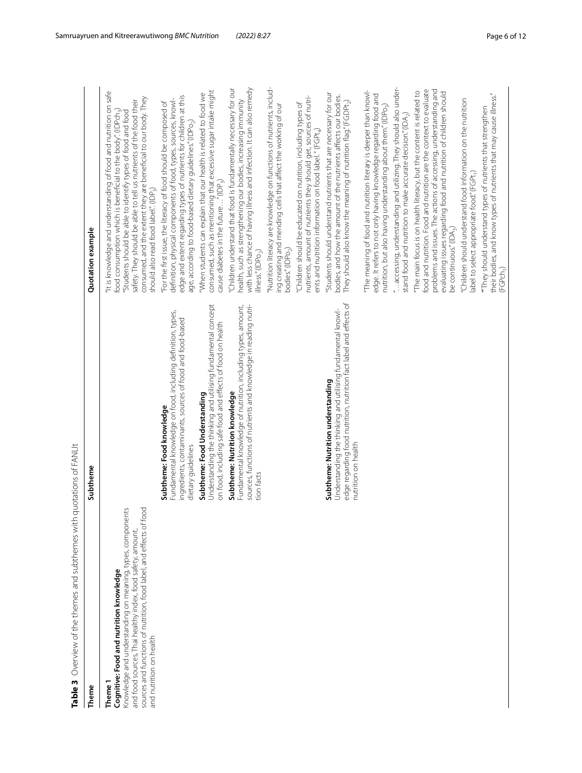| Table 3 Overview of the themes and subthemes wit                                                                                                                                                                                                                                   | h quotations of FANLIt                                                                                                                                                                        |                                                                                                                                                                                                                                                                                                                                                                                             |
|------------------------------------------------------------------------------------------------------------------------------------------------------------------------------------------------------------------------------------------------------------------------------------|-----------------------------------------------------------------------------------------------------------------------------------------------------------------------------------------------|---------------------------------------------------------------------------------------------------------------------------------------------------------------------------------------------------------------------------------------------------------------------------------------------------------------------------------------------------------------------------------------------|
| Theme                                                                                                                                                                                                                                                                              | Subtheme                                                                                                                                                                                      | Quotation example                                                                                                                                                                                                                                                                                                                                                                           |
| food<br>Knowledge and understanding on meaning, types, components<br>sources and functions of nutrition, food label, and effects of t<br>and food sources, Thai healthy index, food safety, amount,<br>Cognitive: Food and nutrition knowledge<br>and nutrition on health<br>Theme |                                                                                                                                                                                               | "It is knowledge and understanding of food and nutrition on safe<br>consumed, and the extent they are beneficial to our body. They<br>safety. They should be able to tell us nutrients of the food their<br>"Students should be able to identify types of food and food<br>food consumption which is beneficial to the body". (IDPch.)<br>should also read food label." (IDP <sub>3</sub> ) |
|                                                                                                                                                                                                                                                                                    | Fundamental knowledge on food, including definition, types,<br>ingredients, contaminants, sources of food and food-based<br>Subtheme: Food knowledge<br>dietary guidelines                    | edge and extent regarding types of nutrients for children at this<br>definition, physical components of food, types, sources, knowl-<br>"For the first issue, the literacy of food should be composed of<br>age, according to food-based dietary guidelines." (IDPo <sub>2</sub> )                                                                                                          |
|                                                                                                                                                                                                                                                                                    | Understanding the thinking and utilising fundamental concept<br>on food, including safe food and effects of food on health<br>Subtheme: Food Understanding                                    | consumed, such as mentioning that excessive sugar intake might<br>"When students can explain that our health is related to food we<br>cause diabetes in the future" (IDP <sub>3</sub> )                                                                                                                                                                                                     |
|                                                                                                                                                                                                                                                                                    | sources, functions of nutrients and knowledge in reading nutri-<br>Fundamental knowledge of nutrition, including types, amount,<br>Subtheme: Nutrition knowledge<br>tion facts                | with less chance of having illness and infection. It can also remedy<br>'Children understand that food is fundamentally necessary for our<br>health, such as strengthening our bodies, increasing immunity<br>llness."(IDPo <sub>2</sub> )                                                                                                                                                  |
|                                                                                                                                                                                                                                                                                    |                                                                                                                                                                                               | 'Nutrition literacy are knowledge on functions of nutrients, includ-<br>ing creating and mending cells that affect the working of our<br>oodies." (IDPo <sub>2</sub> )                                                                                                                                                                                                                      |
|                                                                                                                                                                                                                                                                                    |                                                                                                                                                                                               | nutrients, amount of nutrients they should get, sources of nutri-<br>"Children should be educated on nutrition, including types of<br>ents and nutrition information on food label." (FGPt4)                                                                                                                                                                                                |
|                                                                                                                                                                                                                                                                                    | edge regarding food nutrition, nutrition fact label and effects of<br>Understanding the thinking and utilising fundamental knowl-<br>Subtheme: Nutrition understanding<br>nutrition on health | Students should understand nutrients that are necessary for our<br>bodies, and how the amount of the nutrients affects our bodies.<br>They should also know the meaning of nutrition flag." (FGDPt <sub>2</sub> )                                                                                                                                                                           |
|                                                                                                                                                                                                                                                                                    |                                                                                                                                                                                               | The meaning of food and nutrition literary is deeper than knowl-<br>edge. It refers to not only having knowledge regarding food and<br>nutrition, but also having understanding about them." (IDPo <sub>3</sub> )                                                                                                                                                                           |
|                                                                                                                                                                                                                                                                                    |                                                                                                                                                                                               | "accessing, understanding and utilizing. They should also under-<br>stand food and nutrition to make accurate decision." (IDA,)                                                                                                                                                                                                                                                             |
|                                                                                                                                                                                                                                                                                    |                                                                                                                                                                                               | problems and issues. The actions of accessing, understanding and<br>food and nutrition. Food and nutrition are the context to evaluate<br>"The main focus is on health literacy, but the content is related to<br>evaluating issues regarding food and nutrition of children should<br>be continuous." (IDA <sub>3</sub> )                                                                  |
|                                                                                                                                                                                                                                                                                    |                                                                                                                                                                                               | "Children should understand food information on the nutrition<br>label to select appropriate food." (FGPt1)                                                                                                                                                                                                                                                                                 |
|                                                                                                                                                                                                                                                                                    |                                                                                                                                                                                               | their bodies, and know types of nutrients that may cause illness."<br>"They should understand types of nutrients that strengthen<br>(FGPch <sub>1</sub> )                                                                                                                                                                                                                                   |

<span id="page-5-0"></span>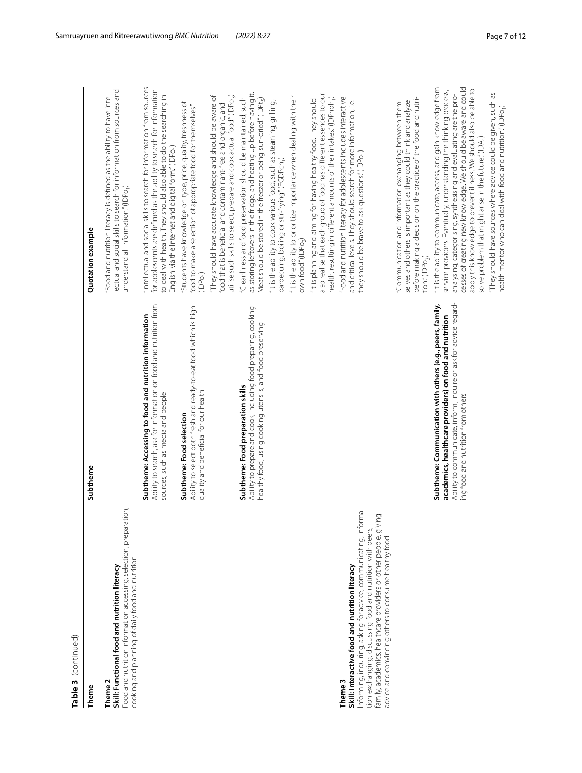| 5 |
|---|
|   |
|   |
|   |
|   |
|   |
|   |
|   |
|   |
| m |
|   |
| d |
|   |
|   |
|   |
|   |

| Table 3 (continued)                                                                                                                                                                                                                                                                                                                  |                                                                                                                                                                                                                                |                                                                                                                                                                                                                                                                                                                                                                                                                |
|--------------------------------------------------------------------------------------------------------------------------------------------------------------------------------------------------------------------------------------------------------------------------------------------------------------------------------------|--------------------------------------------------------------------------------------------------------------------------------------------------------------------------------------------------------------------------------|----------------------------------------------------------------------------------------------------------------------------------------------------------------------------------------------------------------------------------------------------------------------------------------------------------------------------------------------------------------------------------------------------------------|
| Theme                                                                                                                                                                                                                                                                                                                                | Subtheme                                                                                                                                                                                                                       | Quotation example                                                                                                                                                                                                                                                                                                                                                                                              |
| ion,<br>Food and nutrition information accessing, selection, preparat<br>cooking and planning of daily food and nutrition<br>Skill: Functional food and nutrition literacy<br>Theme 2                                                                                                                                                |                                                                                                                                                                                                                                | lectual and social skills to search for information from sources and<br>"Food and nutrition literacy is defined as the ability to have intel-<br>understand all information." (IDPo <sub>1</sub> )                                                                                                                                                                                                             |
|                                                                                                                                                                                                                                                                                                                                      | Ability to search, ask for information on food and nutrition from<br>Subtheme: Accessing to food and nutrition information<br>sources, such as media and people                                                                | "Intellectual and social skills to search for information from sources<br>for adolescents are defined as the ability to search for information<br>to deal with health. They should also able to do the searching in<br>English via the Internet and digital form." (IDPo <sub>1</sub> )                                                                                                                        |
|                                                                                                                                                                                                                                                                                                                                      | Ability to select both fresh and ready-to-eat food which is high<br>quality and beneficial for our health<br>Subtheme: Food selection                                                                                          | "Students have knowledge on type, price, quality, freshness of<br>food to make a selection of appropriate food for themselves."<br>(IDPo <sub>1</sub> )                                                                                                                                                                                                                                                        |
|                                                                                                                                                                                                                                                                                                                                      |                                                                                                                                                                                                                                | "They should have accurate knowledge and should be aware of<br>utilise such skills to select, prepare and cook actual food." (IDPo <sub>3</sub> )<br>food that is beneficial and contaminant-free and organic, and                                                                                                                                                                                             |
|                                                                                                                                                                                                                                                                                                                                      | Ability to prepare and cook, including food preparing, cooking<br>healthy food, using cooking utensils, and food preserving<br>Subtheme: Food preparation skills                                                               | as storing leftovers in the fridge, and heating up before having it.<br>"Cleanliness and food preservation should be maintained, such<br>Meat should be stored in the freezer or being sun-dried." (IDPt <sub>5</sub> )                                                                                                                                                                                        |
|                                                                                                                                                                                                                                                                                                                                      |                                                                                                                                                                                                                                | "It is the ability to cook various food, such as steaming, grilling,<br>barbecuing, boiling or stir-frying" (FGDPch <sub>1</sub> )                                                                                                                                                                                                                                                                             |
|                                                                                                                                                                                                                                                                                                                                      |                                                                                                                                                                                                                                | "It is the ability to prioritize importance when dealing with their<br>own food." (IDPo <sub>2</sub> )                                                                                                                                                                                                                                                                                                         |
|                                                                                                                                                                                                                                                                                                                                      |                                                                                                                                                                                                                                | also realise that each group of food has different essences to our<br>health, resulting in different amounts of their intakes." (IDPhph <sub>1</sub> )<br>"It is planning and aiming for having healthy food. They should                                                                                                                                                                                      |
| nforming, inquiring, asking for advice, communicating, informa-<br>ഊ<br>family, academics, healthcare providers or other people, givin<br>tion exchanging, discussing food and nutrition with peers,<br>advice and convincing others to consume healthy food<br>Skill: Interactive food and nutrition literacy<br>Theme <sub>3</sub> |                                                                                                                                                                                                                                | "Food and nutrition literacy for adolescents includes interactive<br>and critical levels. They should search for more information, i.e.<br>they should be brave to ask questions." (IDPo <sub>1</sub> )                                                                                                                                                                                                        |
|                                                                                                                                                                                                                                                                                                                                      |                                                                                                                                                                                                                                | before making a decision on the practice of the food and nutri-<br>"Communication and information exchanging between them-<br>selves and others is important as they could think and analyze<br>tion." (IDPo <sub>2</sub> )                                                                                                                                                                                    |
|                                                                                                                                                                                                                                                                                                                                      | Ability to communicate, inform, inquire or ask for advice regard-<br>Subtheme: Communication with others (e.g., peers, family,<br>academics, healthcare providers) on food and nutrition<br>ing food and nutrition from others | cesses of creating new knowledge. We should be aware and could<br>"It is the ability to communicate, access, and gain knowledge from<br>apply this knowledge to prevent illness. We should also be able to<br>service providers. Eventually, understanding the thinking process,<br>analysing, categorising, synthesising and evaluating are the pro-<br>solve problem that might arise in the future." (IDA,) |
|                                                                                                                                                                                                                                                                                                                                      |                                                                                                                                                                                                                                | "They should have sources where advice could be given, such as<br>health mentor who can deal with food and nutrition."(IDPo <sub>1</sub> )                                                                                                                                                                                                                                                                     |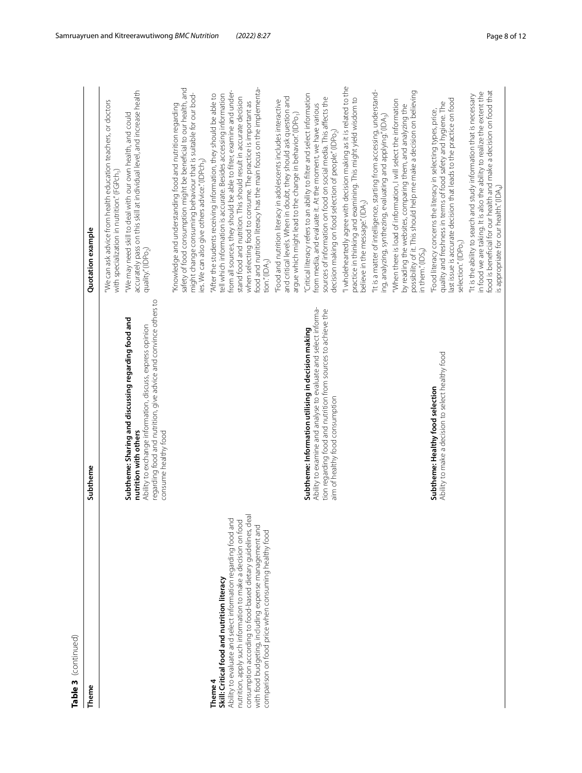| continue   |  |
|------------|--|
|            |  |
|            |  |
|            |  |
|            |  |
|            |  |
|            |  |
| m          |  |
|            |  |
| lable<br>с |  |

| Table 3 (continued)                                                                                                                                                                                                                                                                                                                                                      |                                                                                                                                                                                                                                       |                                                                                                                                                                                                                                                                                                                                                                                                                                                       |
|--------------------------------------------------------------------------------------------------------------------------------------------------------------------------------------------------------------------------------------------------------------------------------------------------------------------------------------------------------------------------|---------------------------------------------------------------------------------------------------------------------------------------------------------------------------------------------------------------------------------------|-------------------------------------------------------------------------------------------------------------------------------------------------------------------------------------------------------------------------------------------------------------------------------------------------------------------------------------------------------------------------------------------------------------------------------------------------------|
| Theme                                                                                                                                                                                                                                                                                                                                                                    | Subtheme                                                                                                                                                                                                                              | Quotation example                                                                                                                                                                                                                                                                                                                                                                                                                                     |
|                                                                                                                                                                                                                                                                                                                                                                          | regarding food and nutrition, give advice and convince others to<br>Subtheme: Sharing and discussing regarding food and<br>Ability to exchange information, discuss, express opinion<br>consume healthy food<br>nutrition with others | accurately pass on this skill at individual level, and increase health<br>"We can ask advice from health education teachers, or doctors<br>"We may need skill to deal with our own health, and could<br>with specialization in nutrition." (FGPch,<br>quality."(IDPo <sub>2</sub> )                                                                                                                                                                   |
|                                                                                                                                                                                                                                                                                                                                                                          |                                                                                                                                                                                                                                       | "Knowledge and understanding food and nutrition regarding<br>safety of food consumption might be beneficial to our health, and<br>might change consuming behaviour that is suitable for our bod-<br>ies. We can also give others advice." (IDPch <sub>3</sub> )                                                                                                                                                                                       |
| consumption according to food-based dietary guidelines, deal<br>Ability to evaluate and select information regarding food and<br>nutrition, apply such information to make a decision on food<br>with food budgeting, including expense management and<br>comparison on food price when consuming healthy food<br>Skill: Critical food and nutrition literacy<br>Theme 4 |                                                                                                                                                                                                                                       | food and nutrition literacy has the main focus on the implementa-<br>from all sources, they should be able to filter, examine and under-<br>tell which information is accurate. Besides accessing information<br>'After the students receiving information, they should be able to<br>stand food and nutrition. This should result in accurate decision<br>when selecting food to consume. The practice is important as<br>tion." (IDA <sub>2</sub> ) |
|                                                                                                                                                                                                                                                                                                                                                                          |                                                                                                                                                                                                                                       | and critical levels. When in doubt, they should ask question and<br>"Food and nutrition literacy in adolescents includes interactive<br>argue which might lead to the change in behavior." (IDPo <sub>1</sub> )                                                                                                                                                                                                                                       |
|                                                                                                                                                                                                                                                                                                                                                                          | Ability to examine and analyse to evaluate and select informa-<br>tion regarding food and nutrition from sources to achieve the<br>Subtheme: Information utilising in decision making<br>aim of healthy food consumption              | "Critical literacy refers to an ability to filter and select information<br>sources of information on food on social media. This affects the<br>from media, and evaluate it. At the moment, we have various<br>decision making on food selection of people." (IDPo <sub>2</sub> )                                                                                                                                                                     |
|                                                                                                                                                                                                                                                                                                                                                                          |                                                                                                                                                                                                                                       | "I wholeheartedly agree with decision making as it is related to the<br>practice in thinking and examining. This might yield wisdom to<br>believe in the message." (IDA <sub>2</sub> )                                                                                                                                                                                                                                                                |
|                                                                                                                                                                                                                                                                                                                                                                          |                                                                                                                                                                                                                                       | "It is a matter of intelligence, starting from accessing, understand-<br>ing, analyzing, synthezing, evaluating and applying." (IDA <sub>3</sub> )                                                                                                                                                                                                                                                                                                    |
|                                                                                                                                                                                                                                                                                                                                                                          |                                                                                                                                                                                                                                       | possibility of it. This should help me make a decision on believing<br>"When there is load of information, I will select the information<br>by reading the websites, comparing them, and analyzing the<br>in them." $(IDS_{9}$                                                                                                                                                                                                                        |
|                                                                                                                                                                                                                                                                                                                                                                          | Ability to make a decision to select healthy food<br>Subtheme: Healthy food selection                                                                                                                                                 | last issue is accurate decision that leads to the practice on food<br>quality and freshness in terms of food safety and hygiene. The<br>"Food literacy concerns the literacy in selecting types, price,<br>selection." (IDPo <sub>1</sub> )                                                                                                                                                                                                           |
|                                                                                                                                                                                                                                                                                                                                                                          |                                                                                                                                                                                                                                       | food is beneficial for our health and make a decision on food that<br>in food we are taking. It is also the ability to realize the extent the<br>"It is the ability to search and study information that is necessary<br>is appropriate for our health." (IDA <sub>4</sub> )                                                                                                                                                                          |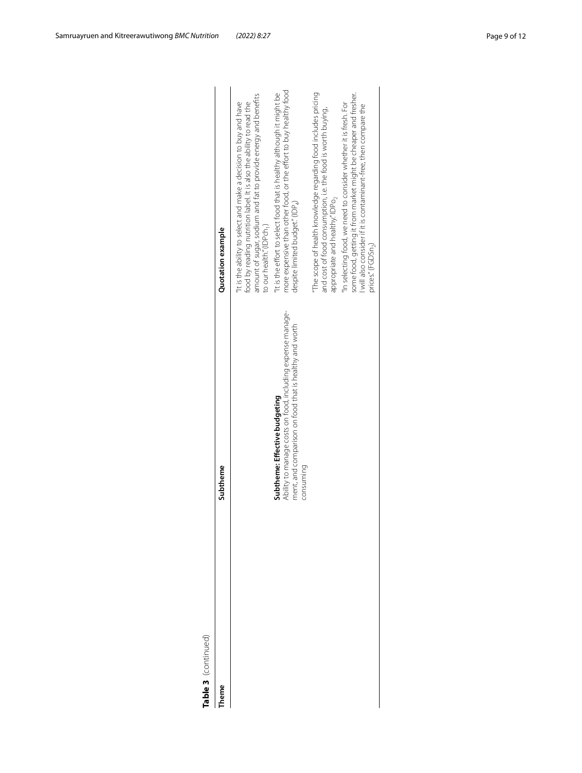| n       |
|---------|
|         |
|         |
| c<br>IJ |
|         |
|         |
|         |
|         |
|         |
|         |
|         |
| ı       |
|         |
| ٦<br>I  |
|         |

| heme | Subtheme                                                                                                                                                           | Quotation example                                                                                                                                                                                                                                 |
|------|--------------------------------------------------------------------------------------------------------------------------------------------------------------------|---------------------------------------------------------------------------------------------------------------------------------------------------------------------------------------------------------------------------------------------------|
|      |                                                                                                                                                                    | amount of sugar, sodium and fat to provide energy and benefits<br>It is the ability to select and make a decision to buy and have<br>food by reading nutrition label. It is also the ability to read the<br>to our health." (IDPch <sub>1</sub> ) |
|      | Ability to manage costs on food, including expense manage-<br>ment, and comparison on food that is healthy and worth<br>Subtheme: Effective budgeting<br>consuming | more expensive than other food, or the effort to buy healthy food<br>It is the effort to select food that is healthy although it might be<br>despite limited budget." (IDP4)                                                                      |
|      |                                                                                                                                                                    | The scope of health knowledge regarding food includes pricing<br>and cost of food consumption, i.e. the food is worth buying,<br>appropriate and healthy" IDPo,                                                                                   |
|      |                                                                                                                                                                    | some food, getting it from market might be cheaper and fresher.<br>'In selecting food, we need to consider whether it is fresh. For<br>will also consider if it is contaminant-free, then compare the<br>prices." (FGDSn <sub>2</sub> )           |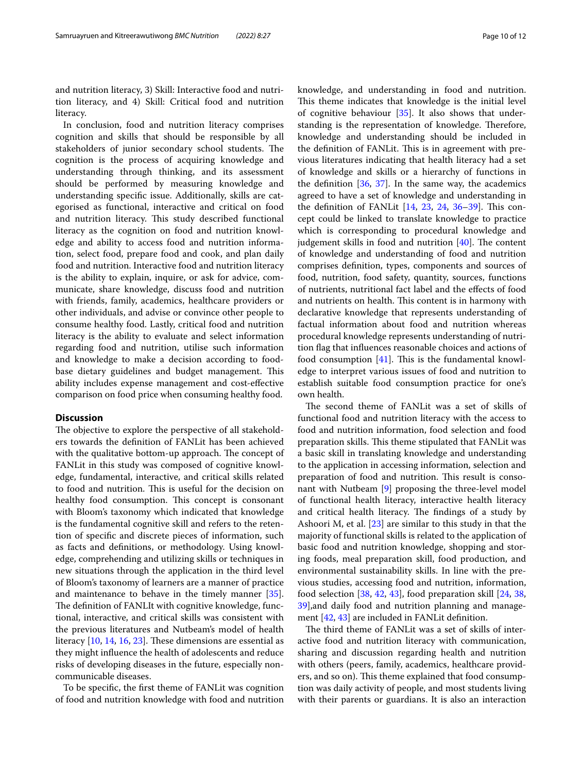and nutrition literacy, 3) Skill: Interactive food and nutrition literacy, and 4) Skill: Critical food and nutrition literacy.

In conclusion, food and nutrition literacy comprises cognition and skills that should be responsible by all stakeholders of junior secondary school students. The cognition is the process of acquiring knowledge and understanding through thinking, and its assessment should be performed by measuring knowledge and understanding specifc issue. Additionally, skills are categorised as functional, interactive and critical on food and nutrition literacy. This study described functional literacy as the cognition on food and nutrition knowledge and ability to access food and nutrition information, select food, prepare food and cook, and plan daily food and nutrition. Interactive food and nutrition literacy is the ability to explain, inquire, or ask for advice, communicate, share knowledge, discuss food and nutrition with friends, family, academics, healthcare providers or other individuals, and advise or convince other people to consume healthy food. Lastly, critical food and nutrition literacy is the ability to evaluate and select information regarding food and nutrition, utilise such information and knowledge to make a decision according to foodbase dietary guidelines and budget management. This ability includes expense management and cost-efective comparison on food price when consuming healthy food.

#### **Discussion**

The objective to explore the perspective of all stakeholders towards the defnition of FANLit has been achieved with the qualitative bottom-up approach. The concept of FANLit in this study was composed of cognitive knowledge, fundamental, interactive, and critical skills related to food and nutrition. This is useful for the decision on healthy food consumption. This concept is consonant with Bloom's taxonomy which indicated that knowledge is the fundamental cognitive skill and refers to the retention of specifc and discrete pieces of information, such as facts and defnitions, or methodology. Using knowledge, comprehending and utilizing skills or techniques in new situations through the application in the third level of Bloom's taxonomy of learners are a manner of practice and maintenance to behave in the timely manner [\[35](#page-11-31)]. The definition of FANLIt with cognitive knowledge, functional, interactive, and critical skills was consistent with the previous literatures and Nutbeam's model of health literacy  $[10, 14, 16, 23]$  $[10, 14, 16, 23]$  $[10, 14, 16, 23]$  $[10, 14, 16, 23]$  $[10, 14, 16, 23]$  $[10, 14, 16, 23]$  $[10, 14, 16, 23]$  $[10, 14, 16, 23]$ . These dimensions are essential as they might infuence the health of adolescents and reduce risks of developing diseases in the future, especially noncommunicable diseases.

To be specifc, the frst theme of FANLit was cognition of food and nutrition knowledge with food and nutrition knowledge, and understanding in food and nutrition. This theme indicates that knowledge is the initial level of cognitive behaviour [\[35](#page-11-31)]. It also shows that understanding is the representation of knowledge. Therefore, knowledge and understanding should be included in the definition of FANLit. This is in agreement with previous literatures indicating that health literacy had a set of knowledge and skills or a hierarchy of functions in the defnition [\[36](#page-11-32), [37](#page-11-33)]. In the same way, the academics agreed to have a set of knowledge and understanding in the definition of FANLit  $[14, 23, 24, 36-39]$  $[14, 23, 24, 36-39]$  $[14, 23, 24, 36-39]$  $[14, 23, 24, 36-39]$  $[14, 23, 24, 36-39]$  $[14, 23, 24, 36-39]$  $[14, 23, 24, 36-39]$  $[14, 23, 24, 36-39]$ . This concept could be linked to translate knowledge to practice which is corresponding to procedural knowledge and judgement skills in food and nutrition  $[40]$  $[40]$ . The content of knowledge and understanding of food and nutrition comprises defnition, types, components and sources of food, nutrition, food safety, quantity, sources, functions of nutrients, nutritional fact label and the efects of food and nutrients on health. This content is in harmony with declarative knowledge that represents understanding of factual information about food and nutrition whereas procedural knowledge represents understanding of nutrition fag that infuences reasonable choices and actions of food consumption  $[41]$  $[41]$ . This is the fundamental knowledge to interpret various issues of food and nutrition to establish suitable food consumption practice for one's own health.

The second theme of FANLit was a set of skills of functional food and nutrition literacy with the access to food and nutrition information, food selection and food preparation skills. This theme stipulated that FANLit was a basic skill in translating knowledge and understanding to the application in accessing information, selection and preparation of food and nutrition. This result is consonant with Nutbeam [\[9](#page-11-7)] proposing the three-level model of functional health literacy, interactive health literacy and critical health literacy. The findings of a study by Ashoori M, et al. [\[23](#page-11-19)] are similar to this study in that the majority of functional skills is related to the application of basic food and nutrition knowledge, shopping and storing foods, meal preparation skill, food production, and environmental sustainability skills. In line with the previous studies, accessing food and nutrition, information, food selection [[38,](#page-11-37) [42,](#page-11-38) [43](#page-11-39)], food preparation skill [[24](#page-11-20), [38](#page-11-37), [39\]](#page-11-34),and daily food and nutrition planning and management [[42](#page-11-38), [43\]](#page-11-39) are included in FANLit defnition.

The third theme of FANLit was a set of skills of interactive food and nutrition literacy with communication, sharing and discussion regarding health and nutrition with others (peers, family, academics, healthcare providers, and so on). This theme explained that food consumption was daily activity of people, and most students living with their parents or guardians. It is also an interaction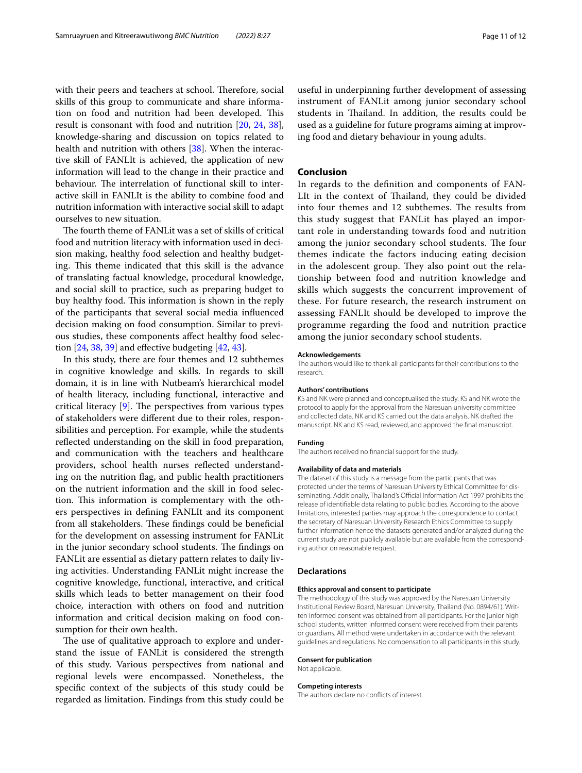with their peers and teachers at school. Therefore, social skills of this group to communicate and share information on food and nutrition had been developed. This result is consonant with food and nutrition [\[20](#page-11-16), [24,](#page-11-20) [38](#page-11-37)], knowledge-sharing and discussion on topics related to health and nutrition with others [\[38](#page-11-37)]. When the interactive skill of FANLIt is achieved, the application of new information will lead to the change in their practice and behaviour. The interrelation of functional skill to interactive skill in FANLIt is the ability to combine food and nutrition information with interactive social skill to adapt ourselves to new situation.

The fourth theme of FANLit was a set of skills of critical food and nutrition literacy with information used in decision making, healthy food selection and healthy budgeting. This theme indicated that this skill is the advance of translating factual knowledge, procedural knowledge, and social skill to practice, such as preparing budget to buy healthy food. This information is shown in the reply of the participants that several social media infuenced decision making on food consumption. Similar to previous studies, these components afect healthy food selection  $[24, 38, 39]$  $[24, 38, 39]$  $[24, 38, 39]$  $[24, 38, 39]$  $[24, 38, 39]$  and effective budgeting  $[42, 43]$  $[42, 43]$  $[42, 43]$  $[42, 43]$ .

In this study, there are four themes and 12 subthemes in cognitive knowledge and skills. In regards to skill domain, it is in line with Nutbeam's hierarchical model of health literacy, including functional, interactive and critical literacy  $[9]$  $[9]$ . The perspectives from various types of stakeholders were diferent due to their roles, responsibilities and perception. For example, while the students refected understanding on the skill in food preparation, and communication with the teachers and healthcare providers, school health nurses refected understanding on the nutrition fag, and public health practitioners on the nutrient information and the skill in food selection. This information is complementary with the others perspectives in defning FANLIt and its component from all stakeholders. These findings could be beneficial for the development on assessing instrument for FANLit in the junior secondary school students. The findings on FANLit are essential as dietary pattern relates to daily living activities. Understanding FANLit might increase the cognitive knowledge, functional, interactive, and critical skills which leads to better management on their food choice, interaction with others on food and nutrition information and critical decision making on food consumption for their own health.

The use of qualitative approach to explore and understand the issue of FANLit is considered the strength of this study. Various perspectives from national and regional levels were encompassed. Nonetheless, the specifc context of the subjects of this study could be regarded as limitation. Findings from this study could be

useful in underpinning further development of assessing instrument of FANLit among junior secondary school students in Thailand. In addition, the results could be used as a guideline for future programs aiming at improving food and dietary behaviour in young adults.

#### **Conclusion**

In regards to the defnition and components of FAN-LIt in the context of Thailand, they could be divided into four themes and 12 subthemes. The results from this study suggest that FANLit has played an important role in understanding towards food and nutrition among the junior secondary school students. The four themes indicate the factors inducing eating decision in the adolescent group. They also point out the relationship between food and nutrition knowledge and skills which suggests the concurrent improvement of these. For future research, the research instrument on assessing FANLIt should be developed to improve the programme regarding the food and nutrition practice among the junior secondary school students.

#### **Acknowledgements**

The authors would like to thank all participants for their contributions to the research.

#### **Authors' contributions**

KS and NK were planned and conceptualised the study. KS and NK wrote the protocol to apply for the approval from the Naresuan university committee and collected data. NK and KS carried out the data analysis. NK drafted the manuscript. NK and KS read, reviewed, and approved the fnal manuscript.

#### **Funding**

The authors received no fnancial support for the study.

#### **Availability of data and materials**

The dataset of this study is a message from the participants that was protected under the terms of Naresuan University Ethical Committee for disseminating. Additionally, Thailand's Official Information Act 1997 prohibits the release of identifable data relating to public bodies. According to the above limitations, interested parties may approach the correspondence to contact the secretary of Naresuan University Research Ethics Committee to supply further information hence the datasets generated and/or analyzed during the current study are not publicly available but are available from the corresponding author on reasonable request.

#### **Declarations**

#### **Ethics approval and consent to participate**

The methodology of this study was approved by the Naresuan University Institutional Review Board, Naresuan University, Thailand (No. 0894/61). Written informed consent was obtained from all participants. For the junior high school students, written informed consent were received from their parents or guardians. All method were undertaken in accordance with the relevant guidelines and regulations. No compensation to all participants in this study.

#### **Consent for publication**

Not applicable.

#### **Competing interests**

The authors declare no conficts of interest.